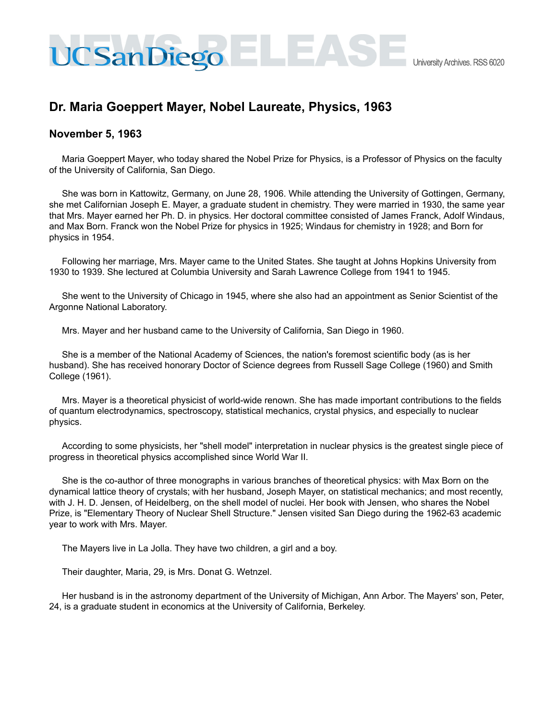## **Dr. Maria Goeppert Mayer, Nobel Laureate, Physics, 1963**

CSanDiego = LEAS

## **November 5, 1963**

Maria Goeppert Mayer, who today shared the Nobel Prize for Physics, is a Professor of Physics on the faculty of the University of California, San Diego.

She was born in Kattowitz, Germany, on June 28, 1906. While attending the University of Gottingen, Germany, she met Californian Joseph E. Mayer, a graduate student in chemistry. They were married in 1930, the same year that Mrs. Mayer earned her Ph. D. in physics. Her doctoral committee consisted of James Franck, Adolf Windaus, and Max Born. Franck won the Nobel Prize for physics in 1925; Windaus for chemistry in 1928; and Born for physics in 1954.

Following her marriage, Mrs. Mayer came to the United States. She taught at Johns Hopkins University from 1930 to 1939. She lectured at Columbia University and Sarah Lawrence College from 1941 to 1945.

She went to the University of Chicago in 1945, where she also had an appointment as Senior Scientist of the Argonne National Laboratory.

Mrs. Mayer and her husband came to the University of California, San Diego in 1960.

She is a member of the National Academy of Sciences, the nation's foremost scientific body (as is her husband). She has received honorary Doctor of Science degrees from Russell Sage College (1960) and Smith College (1961).

Mrs. Mayer is a theoretical physicist of world-wide renown. She has made important contributions to the fields of quantum electrodynamics, spectroscopy, statistical mechanics, crystal physics, and especially to nuclear physics.

According to some physicists, her "shell model" interpretation in nuclear physics is the greatest single piece of progress in theoretical physics accomplished since World War II.

She is the co-author of three monographs in various branches of theoretical physics: with Max Born on the dynamical lattice theory of crystals; with her husband, Joseph Mayer, on statistical mechanics; and most recently, with J. H. D. Jensen, of Heidelberg, on the shell model of nuclei. Her book with Jensen, who shares the Nobel Prize, is "Elementary Theory of Nuclear Shell Structure." Jensen visited San Diego during the 1962-63 academic year to work with Mrs. Mayer.

The Mayers live in La Jolla. They have two children, a girl and a boy.

Their daughter, Maria, 29, is Mrs. Donat G. Wetnzel.

Her husband is in the astronomy department of the University of Michigan, Ann Arbor. The Mayers' son, Peter, 24, is a graduate student in economics at the University of California, Berkeley.